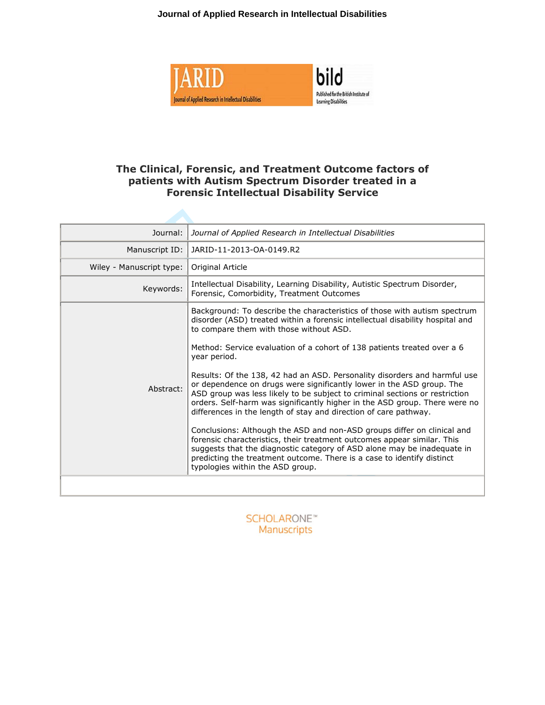**Journal of Applied Research in Intellectual Disabilities**





# **The Clinical, Forensic, and Treatment Outcome factors of patients with Autism Spectrum Disorder treated in a Forensic Intellectual Disability Service**

| Journal:                 | Journal of Applied Research in Intellectual Disabilities                                                                                                                                                                                                                                                                                                                                                                                                                                                                                                                                                                                                                                                                                                                                                                      |
|--------------------------|-------------------------------------------------------------------------------------------------------------------------------------------------------------------------------------------------------------------------------------------------------------------------------------------------------------------------------------------------------------------------------------------------------------------------------------------------------------------------------------------------------------------------------------------------------------------------------------------------------------------------------------------------------------------------------------------------------------------------------------------------------------------------------------------------------------------------------|
| Manuscript ID:           | JARID-11-2013-OA-0149.R2                                                                                                                                                                                                                                                                                                                                                                                                                                                                                                                                                                                                                                                                                                                                                                                                      |
| Wiley - Manuscript type: | Original Article                                                                                                                                                                                                                                                                                                                                                                                                                                                                                                                                                                                                                                                                                                                                                                                                              |
| Keywords:                | Intellectual Disability, Learning Disability, Autistic Spectrum Disorder,<br>Forensic, Comorbidity, Treatment Outcomes                                                                                                                                                                                                                                                                                                                                                                                                                                                                                                                                                                                                                                                                                                        |
|                          | Background: To describe the characteristics of those with autism spectrum<br>disorder (ASD) treated within a forensic intellectual disability hospital and<br>to compare them with those without ASD.                                                                                                                                                                                                                                                                                                                                                                                                                                                                                                                                                                                                                         |
| Abstract:                | Method: Service evaluation of a cohort of 138 patients treated over a 6<br>year period.<br>Results: Of the 138, 42 had an ASD. Personality disorders and harmful use<br>or dependence on drugs were significantly lower in the ASD group. The<br>ASD group was less likely to be subject to criminal sections or restriction<br>orders. Self-harm was significantly higher in the ASD group. There were no<br>differences in the length of stay and direction of care pathway.<br>Conclusions: Although the ASD and non-ASD groups differ on clinical and<br>forensic characteristics, their treatment outcomes appear similar. This<br>suggests that the diagnostic category of ASD alone may be inadequate in<br>predicting the treatment outcome. There is a case to identify distinct<br>typologies within the ASD group. |
|                          |                                                                                                                                                                                                                                                                                                                                                                                                                                                                                                                                                                                                                                                                                                                                                                                                                               |

**SCHOLARONE**™ Manuscripts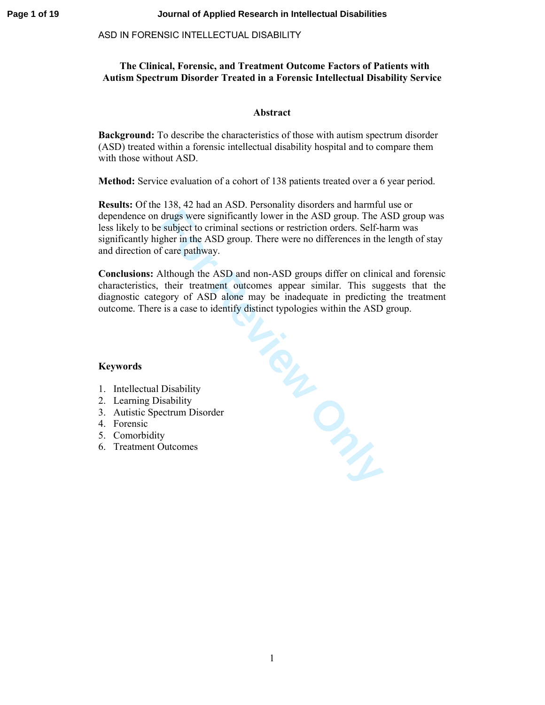## **The Clinical, Forensic, and Treatment Outcome Factors of Patients with Autism Spectrum Disorder Treated in a Forensic Intellectual Disability Service**

## **Abstract**

**Background:** To describe the characteristics of those with autism spectrum disorder (ASD) treated within a forensic intellectual disability hospital and to compare them with those without ASD.

**Method:** Service evaluation of a cohort of 138 patients treated over a 6 year period.

**Results:** Of the 138, 42 had an ASD. Personality disorders and harmful use or dependence on drugs were significantly lower in the ASD group. The ASD group was less likely to be subject to criminal sections or restriction orders. Self-harm was significantly higher in the ASD group. There were no differences in the length of stay and direction of care pathway.

Fire Review Only **Conclusions:** Although the ASD and non-ASD groups differ on clinical and forensic characteristics, their treatment outcomes appear similar. This suggests that the diagnostic category of ASD alone may be inadequate in predicting the treatment outcome. There is a case to identify distinct typologies within the ASD group.

## **Keywords**

- 1. Intellectual Disability
- 2. Learning Disability
- 3. Autistic Spectrum Disorder
- 4. Forensic
- 5. Comorbidity
- 6. Treatment Outcomes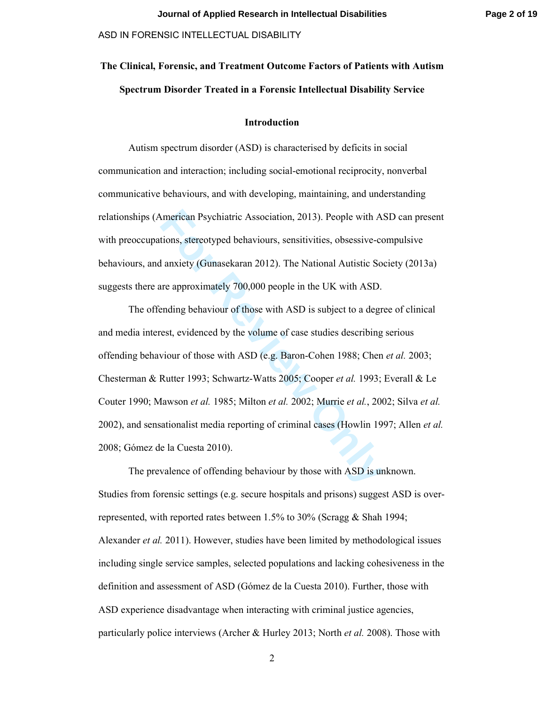# **The Clinical, Forensic, and Treatment Outcome Factors of Patients with Autism Spectrum Disorder Treated in a Forensic Intellectual Disability Service**

## **Introduction**

Autism spectrum disorder (ASD) is characterised by deficits in social communication and interaction; including social-emotional reciprocity, nonverbal communicative behaviours, and with developing, maintaining, and understanding relationships (American Psychiatric Association, 2013). People with ASD can present with preoccupations, stereotyped behaviours, sensitivities, obsessive-compulsive behaviours, and anxiety (Gunasekaran 2012). The National Autistic Society (2013a) suggests there are approximately 700,000 people in the UK with ASD.

Imerican Psychiatric Association, 2013). People with A<br> **For Execution** Ations, stereotyped behaviours, sensitivities, obsessive-colar<br>
Interty (Gunasekaran 2012). The National Autistic So<br>
Interty (Gunasekaran 2012). The The offending behaviour of those with ASD is subject to a degree of clinical and media interest, evidenced by the volume of case studies describing serious offending behaviour of those with ASD (e.g. Baron-Cohen 1988; Chen *et al.* 2003; Chesterman & Rutter 1993; Schwartz-Watts 2005; Cooper *et al.* 1993; Everall & Le Couter 1990; Mawson *et al.* 1985; Milton *et al.* 2002; Murrie *et al.*, 2002; Silva *et al.* 2002), and sensationalist media reporting of criminal cases (Howlin 1997; Allen *et al.* 2008; Gómez de la Cuesta 2010).

The prevalence of offending behaviour by those with ASD is unknown. Studies from forensic settings (e.g. secure hospitals and prisons) suggest ASD is overrepresented, with reported rates between 1.5% to 30% (Scragg & Shah 1994; Alexander *et al.* 2011). However, studies have been limited by methodological issues including single service samples, selected populations and lacking cohesiveness in the definition and assessment of ASD (Gómez de la Cuesta 2010). Further, those with ASD experience disadvantage when interacting with criminal justice agencies, particularly police interviews (Archer & Hurley 2013; North *et al.* 2008). Those with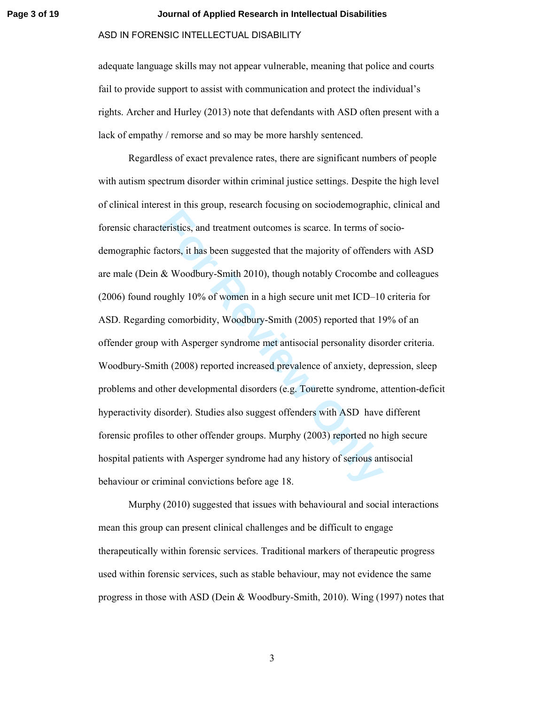#### **Page 3 of 19 Journal of Applied Research in Intellectual Disabilities**

## ASD IN FORENSIC INTELLECTUAL DISABILITY

adequate language skills may not appear vulnerable, meaning that police and courts fail to provide support to assist with communication and protect the individual's rights. Archer and Hurley (2013) note that defendants with ASD often present with a lack of empathy / remorse and so may be more harshly sentenced.

teristics, and treatment outcomes is scarce. In terms of s<br>ctors, it has been suggested that the majority of offende<br>& Woodbury-Smith 2010), though notably Crocombe a<br>nughly 10% of women in a high secure unit met ICD–10<br>g Regardless of exact prevalence rates, there are significant numbers of people with autism spectrum disorder within criminal justice settings. Despite the high level of clinical interest in this group, research focusing on sociodemographic, clinical and forensic characteristics, and treatment outcomes is scarce. In terms of sociodemographic factors, it has been suggested that the majority of offenders with ASD are male (Dein & Woodbury-Smith 2010), though notably Crocombe and colleagues (2006) found roughly 10% of women in a high secure unit met ICD–10 criteria for ASD. Regarding comorbidity, Woodbury-Smith (2005) reported that 19% of an offender group with Asperger syndrome met antisocial personality disorder criteria. Woodbury-Smith (2008) reported increased prevalence of anxiety, depression, sleep problems and other developmental disorders (e.g. Tourette syndrome, attention-deficit hyperactivity disorder). Studies also suggest offenders with ASD have different forensic profiles to other offender groups. Murphy (2003) reported no high secure hospital patients with Asperger syndrome had any history of serious antisocial behaviour or criminal convictions before age 18.

Murphy (2010) suggested that issues with behavioural and social interactions mean this group can present clinical challenges and be difficult to engage therapeutically within forensic services. Traditional markers of therapeutic progress used within forensic services, such as stable behaviour, may not evidence the same progress in those with ASD (Dein & Woodbury-Smith, 2010). Wing (1997) notes that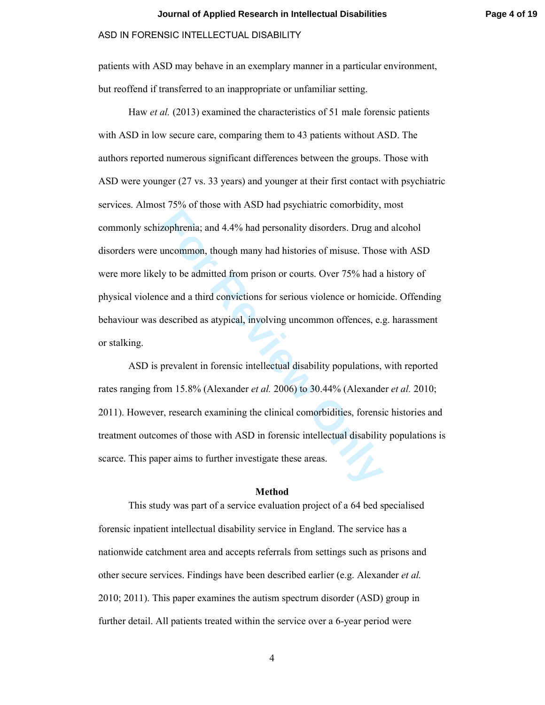patients with ASD may behave in an exemplary manner in a particular environment, but reoffend if transferred to an inappropriate or unfamiliar setting.

Experimal and 4.4% had personality disorders. Drug an uncommon, though many had histories of misuse. Those uncommon, though many had histories of misuse. Those use and a third convictions for serious violence or homic desc Haw *et al.* (2013) examined the characteristics of 51 male forensic patients with ASD in low secure care, comparing them to 43 patients without ASD. The authors reported numerous significant differences between the groups. Those with ASD were younger (27 vs. 33 years) and younger at their first contact with psychiatric services. Almost 75% of those with ASD had psychiatric comorbidity, most commonly schizophrenia; and 4.4% had personality disorders. Drug and alcohol disorders were uncommon, though many had histories of misuse. Those with ASD were more likely to be admitted from prison or courts. Over 75% had a history of physical violence and a third convictions for serious violence or homicide. Offending behaviour was described as atypical, involving uncommon offences, e.g. harassment or stalking.

ASD is prevalent in forensic intellectual disability populations, with reported rates ranging from 15.8% (Alexander *et al.* 2006) to 30.44% (Alexander *et al.* 2010; 2011). However, research examining the clinical comorbidities, forensic histories and treatment outcomes of those with ASD in forensic intellectual disability populations is scarce. This paper aims to further investigate these areas.

## **Method**

This study was part of a service evaluation project of a 64 bed specialised forensic inpatient intellectual disability service in England. The service has a nationwide catchment area and accepts referrals from settings such as prisons and other secure services. Findings have been described earlier (e.g. Alexander *et al.* 2010; 2011). This paper examines the autism spectrum disorder (ASD) group in further detail. All patients treated within the service over a 6-year period were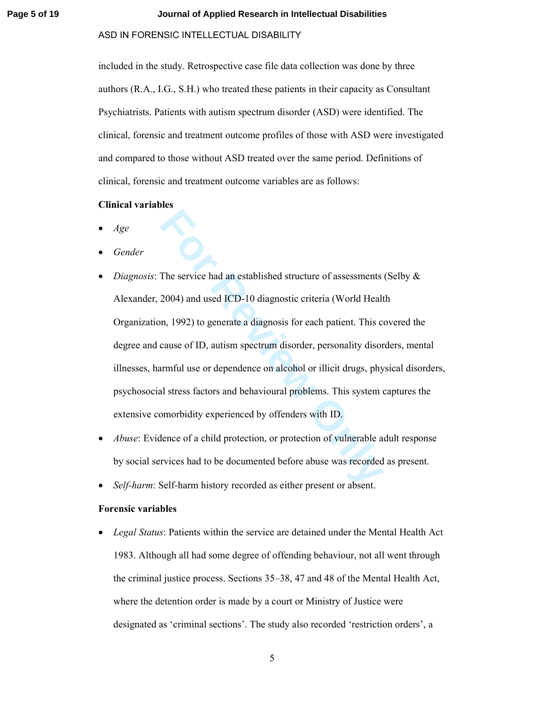#### **Page 5 of 19 Journal of Applied Research in Intellectual Disabilities**

## ASD IN FORENSIC INTELLECTUAL DISABILITY

included in the study. Retrospective case file data collection was done by three authors (R.A., I.G., S.H.) who treated these patients in their capacity as Consultant Psychiatrists. Patients with autism spectrum disorder (ASD) were identified. The clinical, forensic and treatment outcome profiles of those with ASD were investigated and compared to those without ASD treated over the same period. Definitions of clinical, forensic and treatment outcome variables are as follows:

## **Clinical variables**

- *Age*
- *Gender*
- The service had an established structure of assessments<br>2004) and used ICD-10 diagnostic criteria (World Healt<br>n, 1992) to generate a diagnosis for each patient. This c<br>cause of ID, autism spectrum disorder, personality di *Diagnosis*: The service had an established structure of assessments (Selby & Alexander, 2004) and used ICD-10 diagnostic criteria (World Health Organization, 1992) to generate a diagnosis for each patient. This covered the degree and cause of ID, autism spectrum disorder, personality disorders, mental illnesses, harmful use or dependence on alcohol or illicit drugs, physical disorders, psychosocial stress factors and behavioural problems. This system captures the extensive comorbidity experienced by offenders with ID.
- *Abuse*: Evidence of a child protection, or protection of vulnerable adult response by social services had to be documented before abuse was recorded as present.
- *Self-harm*: Self-harm history recorded as either present or absent.

## **Forensic variables**

• *Legal Status*: Patients within the service are detained under the Mental Health Act 1983. Although all had some degree of offending behaviour, not all went through the criminal justice process. Sections 35–38, 47 and 48 of the Mental Health Act, where the detention order is made by a court or Ministry of Justice were designated as 'criminal sections'. The study also recorded 'restriction orders', a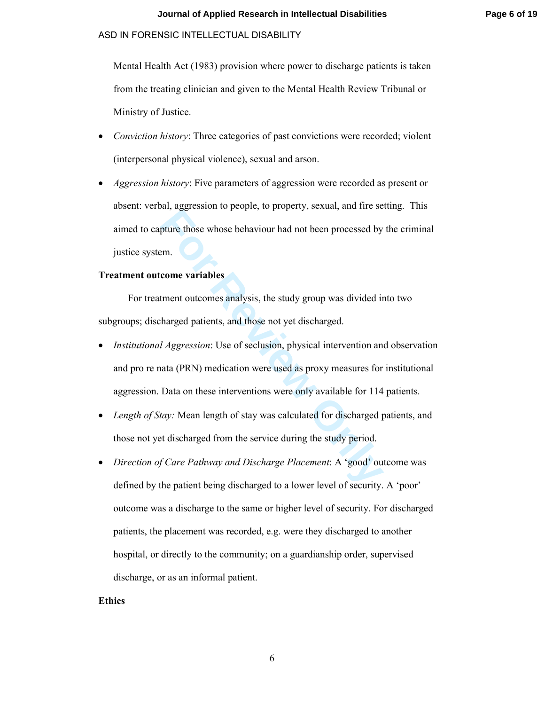Mental Health Act (1983) provision where power to discharge patients is taken from the treating clinician and given to the Mental Health Review Tribunal or Ministry of Justice.

- *Conviction history*: Three categories of past convictions were recorded; violent (interpersonal physical violence), sexual and arson.
- *Aggression history*: Five parameters of aggression were recorded as present or absent: verbal, aggression to people, to property, sexual, and fire setting. This aimed to capture those whose behaviour had not been processed by the criminal justice system.

## **Treatment outcome variables**

For treatment outcomes analysis, the study group was divided into two subgroups; discharged patients, and those not yet discharged.

- at, agglession te people, to property, solidary, and the set<br>philip three those whose behaviour had not been processed by<br>m.<br>**Come variables**<br>tment outcomes analysis, the study group was divided in<br>harged patients, and tho • *Institutional Aggression*: Use of seclusion, physical intervention and observation and pro re nata (PRN) medication were used as proxy measures for institutional aggression. Data on these interventions were only available for 114 patients.
- *Length of Stay:* Mean length of stay was calculated for discharged patients, and those not yet discharged from the service during the study period.
- *Direction of Care Pathway and Discharge Placement*: A 'good' outcome was defined by the patient being discharged to a lower level of security. A 'poor' outcome was a discharge to the same or higher level of security. For discharged patients, the placement was recorded, e.g. were they discharged to another hospital, or directly to the community; on a guardianship order, supervised discharge, or as an informal patient.

#### **Ethics**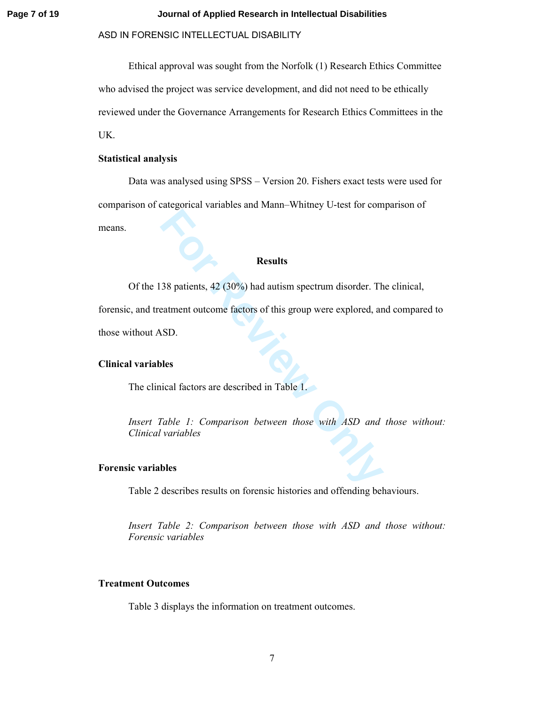#### **Page 7 of 19 Journal of Applied Research in Intellectual Disabilities**

## ASD IN FORENSIC INTELLECTUAL DISABILITY

Ethical approval was sought from the Norfolk (1) Research Ethics Committee who advised the project was service development, and did not need to be ethically reviewed under the Governance Arrangements for Research Ethics Committees in the UK.

## **Statistical analysis**

Data was analysed using SPSS – Version 20. Fishers exact tests were used for comparison of categorical variables and Mann–Whitney U-test for comparison of means.

## **Results**

Of the 138 patients, 42 (30%) had autism spectrum disorder. The clinical,

**Fouriers**<br>**For Results**<br>**For Results**<br>**For Real Algons** and actions of this group were explored, and<br>**For Real Algons**<br>**For Results**<br>**For Real Algons**<br>**For Real Algons**<br>**For Real Algons**<br>**For Real Algons Between those wit** forensic, and treatment outcome factors of this group were explored, and compared to those without ASD.

## **Clinical variables**

The clinical factors are described in Table 1.

*Insert Table 1: Comparison between those with ASD and those without: Clinical variables* 

#### **Forensic variables**

Table 2 describes results on forensic histories and offending behaviours.

*Insert Table 2: Comparison between those with ASD and those without: Forensic variables* 

## **Treatment Outcomes**

Table 3 displays the information on treatment outcomes.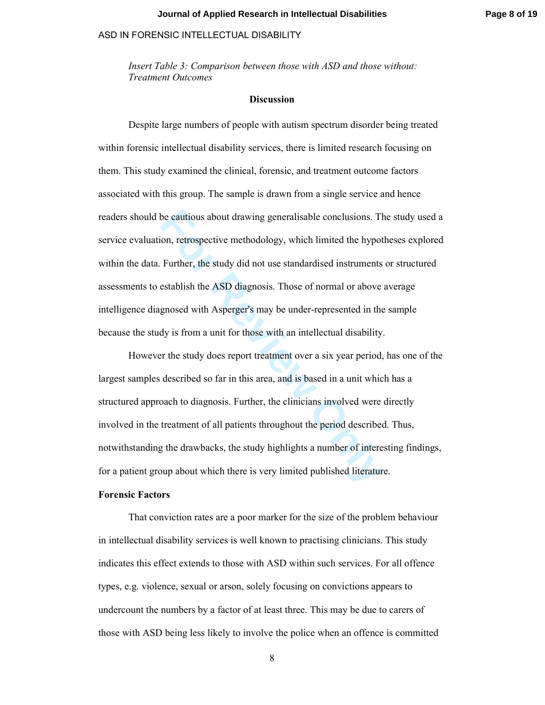*Insert Table 3: Comparison between those with ASD and those without: Treatment Outcomes* 

## **Discussion**

be cautious about drawing generalisable conclusions. Then, retrospective methodology, which limited the hypot Further, the study did not use standardised instruments establish the ASD diagnosis. Those of normal or above gn Despite large numbers of people with autism spectrum disorder being treated within forensic intellectual disability services, there is limited research focusing on them. This study examined the clinical, forensic, and treatment outcome factors associated with this group. The sample is drawn from a single service and hence readers should be cautious about drawing generalisable conclusions. The study used a service evaluation, retrospective methodology, which limited the hypotheses explored within the data. Further, the study did not use standardised instruments or structured assessments to establish the ASD diagnosis. Those of normal or above average intelligence diagnosed with Asperger's may be under-represented in the sample because the study is from a unit for those with an intellectual disability.

However the study does report treatment over a six year period, has one of the largest samples described so far in this area, and is based in a unit which has a structured approach to diagnosis. Further, the clinicians involved were directly involved in the treatment of all patients throughout the period described. Thus, notwithstanding the drawbacks, the study highlights a number of interesting findings, for a patient group about which there is very limited published literature.

## **Forensic Factors**

That conviction rates are a poor marker for the size of the problem behaviour in intellectual disability services is well known to practising clinicians. This study indicates this effect extends to those with ASD within such services. For all offence types, e.g. violence, sexual or arson, solely focusing on convictions appears to undercount the numbers by a factor of at least three. This may be due to carers of those with ASD being less likely to involve the police when an offence is committed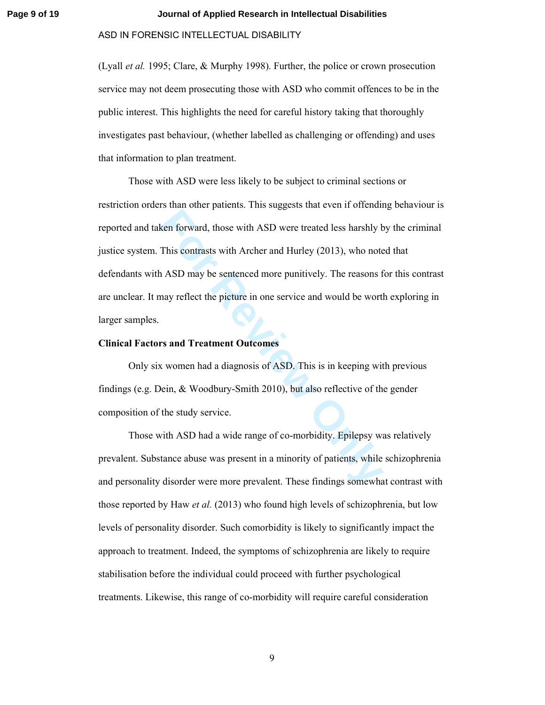#### **Page 9 of 19 Journal of Applied Research in Intellectual Disabilities**

#### ASD IN FORENSIC INTELLECTUAL DISABILITY

(Lyall *et al.* 1995; Clare, & Murphy 1998). Further, the police or crown prosecution service may not deem prosecuting those with ASD who commit offences to be in the public interest. This highlights the need for careful history taking that thoroughly investigates past behaviour, (whether labelled as challenging or offending) and uses that information to plan treatment.

**Example 18 Example 10**<br> **Follow Example 18 Example 18 Example 18 Example 18 Example 18 ASD may be sentenced more punitively. The reasons f<br>
<b>For Review Only Defect the picture in one service and would be wortly<br>
<b>For Revi** Those with ASD were less likely to be subject to criminal sections or restriction orders than other patients. This suggests that even if offending behaviour is reported and taken forward, those with ASD were treated less harshly by the criminal justice system. This contrasts with Archer and Hurley (2013), who noted that defendants with ASD may be sentenced more punitively. The reasons for this contrast are unclear. It may reflect the picture in one service and would be worth exploring in larger samples.

#### **Clinical Factors and Treatment Outcomes**

Only six women had a diagnosis of ASD. This is in keeping with previous findings (e.g. Dein, & Woodbury-Smith 2010), but also reflective of the gender composition of the study service.

Those with ASD had a wide range of co-morbidity. Epilepsy was relatively prevalent. Substance abuse was present in a minority of patients, while schizophrenia and personality disorder were more prevalent. These findings somewhat contrast with those reported by Haw *et al.* (2013) who found high levels of schizophrenia, but low levels of personality disorder. Such comorbidity is likely to significantly impact the approach to treatment. Indeed, the symptoms of schizophrenia are likely to require stabilisation before the individual could proceed with further psychological treatments. Likewise, this range of co-morbidity will require careful consideration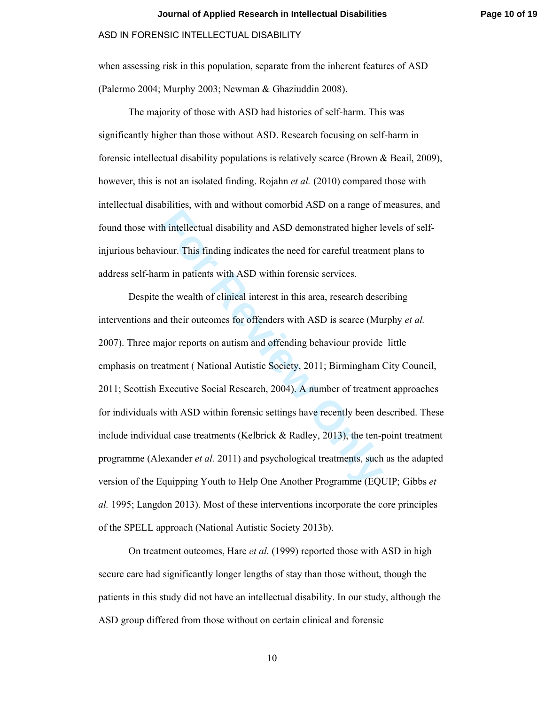when assessing risk in this population, separate from the inherent features of ASD (Palermo 2004; Murphy 2003; Newman & Ghaziuddin 2008).

The majority of those with ASD had histories of self-harm. This was significantly higher than those without ASD. Research focusing on self-harm in forensic intellectual disability populations is relatively scarce (Brown & Beail, 2009), however, this is not an isolated finding. Rojahn *et al.* (2010) compared those with intellectual disabilities, with and without comorbid ASD on a range of measures, and found those with intellectual disability and ASD demonstrated higher levels of selfinjurious behaviour. This finding indicates the need for careful treatment plans to address self-harm in patients with ASD within forensic services.

**Followian** intellectual disability and ASD demonstrated higher lotur. This finding indicates the need for careful treatmer m in patients with ASD within forensic services.<br>the wealth of clinical interest in this area, res Despite the wealth of clinical interest in this area, research describing interventions and their outcomes for offenders with ASD is scarce (Murphy *et al.* 2007). Three major reports on autism and offending behaviour provide little emphasis on treatment ( National Autistic Society, 2011; Birmingham City Council, 2011; Scottish Executive Social Research, 2004). A number of treatment approaches for individuals with ASD within forensic settings have recently been described. These include individual case treatments (Kelbrick  $\&$  Radley, 2013), the ten-point treatment programme (Alexander *et al.* 2011) and psychological treatments, such as the adapted version of the Equipping Youth to Help One Another Programme (EQUIP; Gibbs *et al.* 1995; Langdon 2013). Most of these interventions incorporate the core principles of the SPELL approach (National Autistic Society 2013b).

On treatment outcomes, Hare *et al.* (1999) reported those with ASD in high secure care had significantly longer lengths of stay than those without, though the patients in this study did not have an intellectual disability. In our study, although the ASD group differed from those without on certain clinical and forensic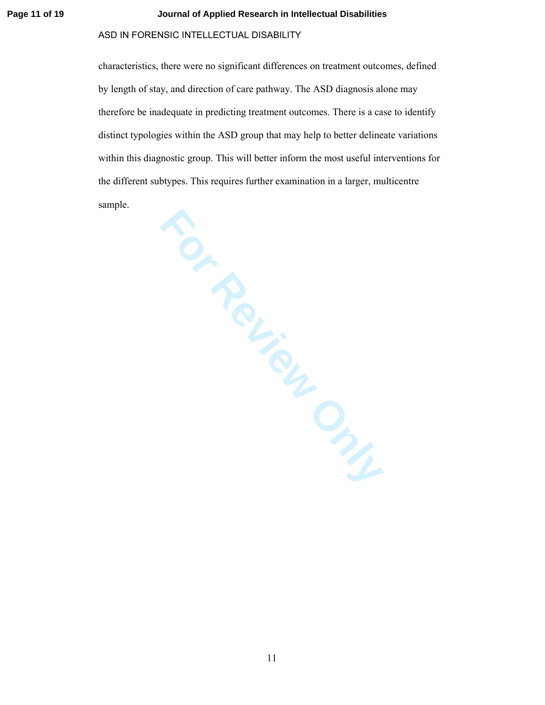#### **Page 11 of 19 Journal of Applied Research in Intellectual Disabilities**

## ASD IN FORENSIC INTELLECTUAL DISABILITY

characteristics, there were no significant differences on treatment outcomes, defined by length of stay, and direction of care pathway. The ASD diagnosis alone may therefore be inadequate in predicting treatment outcomes. There is a case to identify distinct typologies within the ASD group that may help to better delineate variations within this diagnostic group. This will better inform the most useful interventions for the different subtypes. This requires further examination in a larger, multicentre sample.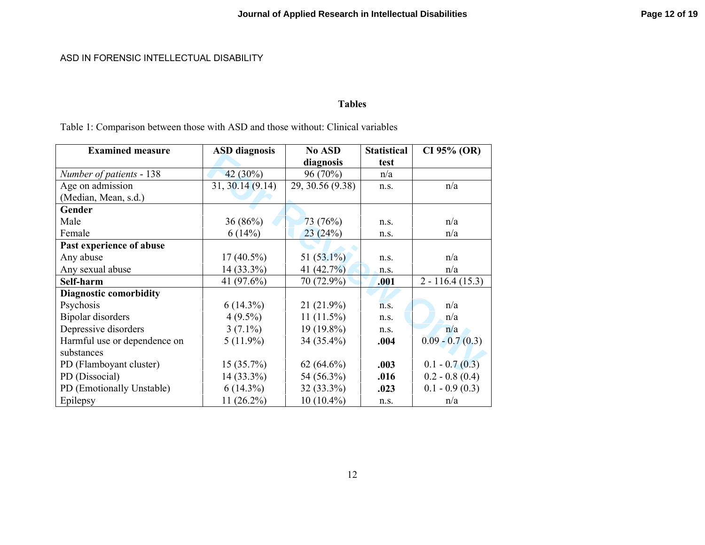# **Tables**

Table 1: Comparison between those with ASD and those without: Clinical variables

| <b>Examined measure</b>       | <b>ASD</b> diagnosis | No ASD           | <b>Statistical</b> | CI 95% (OR)       |
|-------------------------------|----------------------|------------------|--------------------|-------------------|
|                               |                      | diagnosis        | test               |                   |
| Number of patients - 138      | $42(30\%)$           | 96 (70%)         | n/a                |                   |
| Age on admission              | 31, 30.14 (9.14)     | 29, 30.56 (9.38) | n.s.               | n/a               |
| (Median, Mean, s.d.)          |                      |                  |                    |                   |
| Gender                        |                      |                  |                    |                   |
| Male                          | 36(86%)              | 73(76%)          | n.S.               | n/a               |
| Female                        | 6(14%)               | 23(24%)          | n.s.               | n/a               |
| Past experience of abuse      |                      |                  |                    |                   |
| Any abuse                     | $17(40.5\%)$         | 51 $(53.1\%)$    | n.s.               | n/a               |
| Any sexual abuse              | 14 (33.3%)           | 41 $(42.7\%)$    | n.s.               | n/a               |
| Self-harm                     | 41 $(97.6\%)$        | 70 (72.9%)       | .001               | $2 - 116.4(15.3)$ |
| <b>Diagnostic comorbidity</b> |                      |                  |                    |                   |
| Psychosis                     | $6(14.3\%)$          | $21(21.9\%)$     | n.S.               | n/a               |
| Bipolar disorders             | $4(9.5\%)$           | $11(11.5\%)$     | n.S.               | n/a               |
| Depressive disorders          | $3(7.1\%)$           | 19 (19.8%)       | n.s.               | n/a               |
| Harmful use or dependence on  | $5(11.9\%)$          | 34 (35.4%)       | .004               | $0.09 - 0.7(0.3)$ |
| substances                    |                      |                  |                    |                   |
| PD (Flamboyant cluster)       | 15(35.7%)            | $62(64.6\%)$     | .003               | $0.1 - 0.7(0.3)$  |
| PD (Dissocial)                | $14(33.3\%)$         | 54 (56.3%)       | .016               | $0.2 - 0.8(0.4)$  |
| PD (Emotionally Unstable)     | $6(14.3\%)$          | $32(33.3\%)$     | .023               | $0.1 - 0.9(0.3)$  |
| Epilepsy                      | $11(26.2\%)$         | $10(10.4\%)$     | n.s.               | n/a               |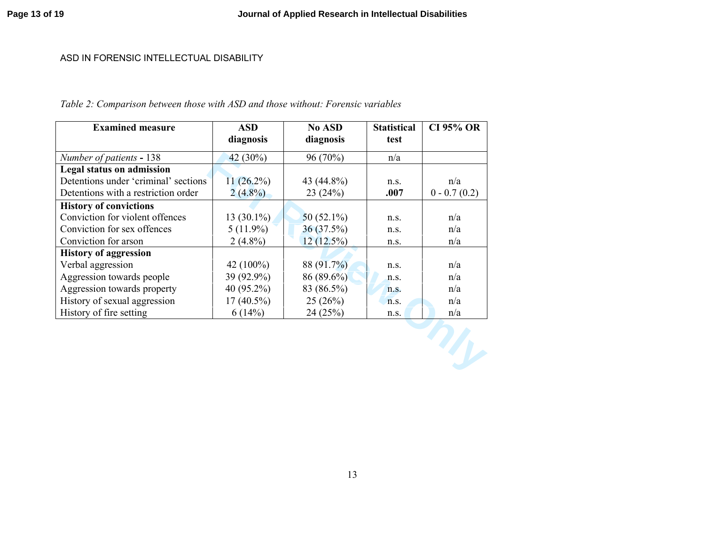# *Table 2: Comparison between those with ASD and those without: Forensic variables*

| <b>Examined measure</b>              | <b>ASD</b>   | <b>No ASD</b> | <b>Statistical</b> | <b>CI 95% OR</b> |
|--------------------------------------|--------------|---------------|--------------------|------------------|
|                                      | diagnosis    | diagnosis     | test               |                  |
| Number of patients - 138             | 42 $(30\%)$  | 96 (70%)      | n/a                |                  |
| <b>Legal status on admission</b>     |              |               |                    |                  |
| Detentions under 'criminal' sections | $11(26.2\%)$ | 43 (44.8%)    | n.s.               | n/a              |
| Detentions with a restriction order  | $2(4.8\%)$   | 23(24%)       | .007               | $0 - 0.7(0.2)$   |
| <b>History of convictions</b>        |              |               |                    |                  |
| Conviction for violent offences      | $13(30.1\%)$ | 50 $(52.1\%)$ | n.s.               | n/a              |
| Conviction for sex offences          | $5(11.9\%)$  | 36 (37.5%)    | n.s.               | n/a              |
| Conviction for arson                 | $2(4.8\%)$   | 12(12.5%)     | n.s.               | n/a              |
| <b>History of aggression</b>         |              |               |                    |                  |
| Verbal aggression                    | 42 $(100\%)$ | 88 (91.7%)    | n.s.               | n/a              |
| Aggression towards people            | 39 (92.9%)   | 86 (89.6%)    | n.S.               | n/a              |
| Aggression towards property          | 40 (95.2%)   | 83 (86.5%)    | n.S.               | n/a              |
| History of sexual aggression         | $17(40.5\%)$ | 25(26%)       | n.S.               | n/a              |
| History of fire setting              | 6(14%)       | 24(25%)       | n.s.               | n/a              |
|                                      |              |               |                    |                  |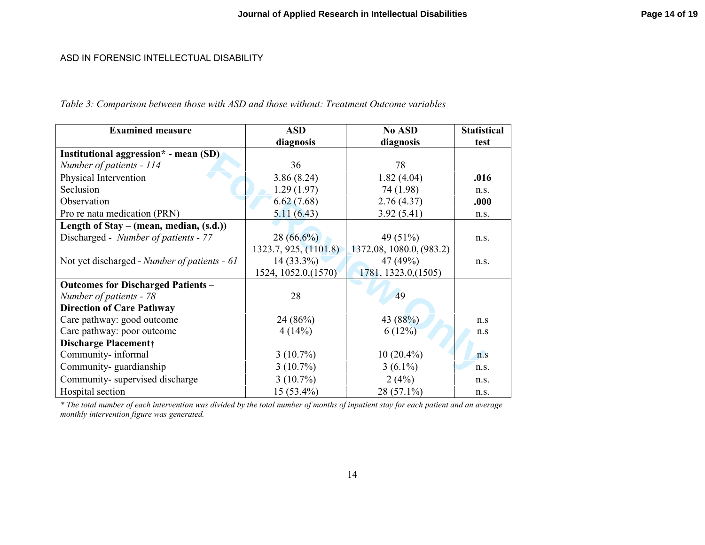*Table 3: Comparison between those with ASD and those without: Treatment Outcome variables* 

| <b>Examined measure</b>                      | <b>ASD</b>            | No ASD                   | <b>Statistical</b> |
|----------------------------------------------|-----------------------|--------------------------|--------------------|
|                                              | diagnosis             | diagnosis                | test               |
| Institutional aggression* - mean (SD)        |                       |                          |                    |
| Number of patients - 114                     | 36                    | 78                       |                    |
| Physical Intervention                        | 3.86(8.24)            | 1.82(4.04)               | .016               |
| Seclusion                                    | 1.29(1.97)            | 74 (1.98)                | n.s.               |
| Observation                                  | 6.62(7.68)            | 2.76(4.37)               | .000               |
| Pro re nata medication (PRN)                 | 5.11(6.43)            | 3.92(5.41)               | n.s.               |
| Length of Stay – (mean, median, $(s.d.)$ )   |                       |                          |                    |
| Discharged - Number of patients - 77         | $28(66.6\%)$          | 49 (51%)                 | n.s.               |
|                                              | 1323.7, 925, (1101.8) | 1372.08, 1080.0, (983.2) |                    |
| Not yet discharged - Number of patients - 61 | $14(33.3\%)$          | 47 (49%)                 | n.s.               |
|                                              | 1524, 1052.0, (1570)  | 1781, 1323.0, (1505)     |                    |
| <b>Outcomes for Discharged Patients -</b>    |                       |                          |                    |
| Number of patients - 78                      | 28                    | 49                       |                    |
| <b>Direction of Care Pathway</b>             |                       |                          |                    |
| Care pathway: good outcome                   | 24(86%)               | 43 (88%)                 | n.s                |
| Care pathway: poor outcome                   | 4(14%)                | 6(12%)                   | n.s                |
| <b>Discharge Placement</b> †                 |                       |                          |                    |
| Community-informal                           | $3(10.7\%)$           | $10(20.4\%)$             | n.s                |
| Community-guardianship                       | $3(10.7\%)$           | $3(6.1\%)$               | n.S.               |
| Community-supervised discharge               | $3(10.7\%)$           | 2(4%)                    | n.s.               |
| Hospital section                             | $15(53.4\%)$          | 28 (57.1%)               | n.s.               |

*\* The total number of each intervention was divided by the total number of months of inpatient stay for each patient and an average monthly intervention figure was generated.*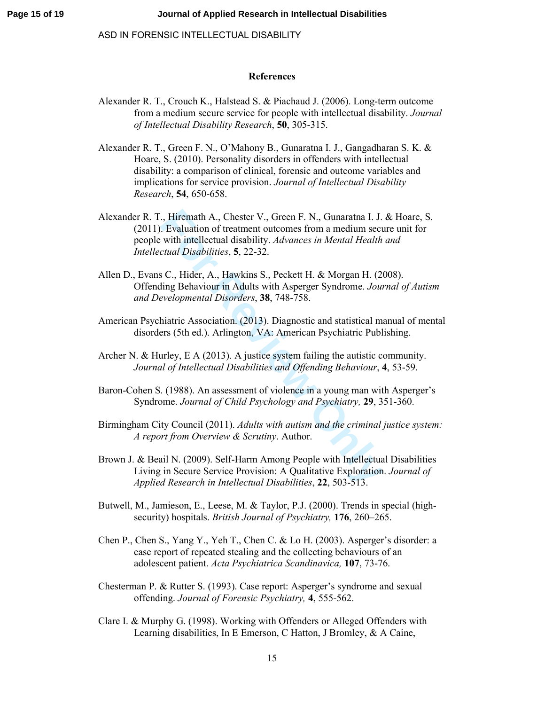## **References**

- Alexander R. T., Crouch K., Halstead S. & Piachaud J. (2006). Long-term outcome from a medium secure service for people with intellectual disability. *Journal of Intellectual Disability Research*, **50**, 305-315.
- Alexander R. T., Green F. N., O'Mahony B., Gunaratna I. J., Gangadharan S. K. & Hoare, S. (2010). Personality disorders in offenders with intellectual disability: a comparison of clinical, forensic and outcome variables and implications for service provision. *Journal of Intellectual Disability Research*, **54**, 650-658.
- ., Hiremath A., Chester V., Green F. N., Gunaratna I. J.<br> **Formation** of treatment outcomes from a medium secure with intellectual disability. *Advances in Mental Health*<br> *Cual Disabilities*, **5**, 22-32.<br> **SC.**, Hider, A. Alexander R. T., Hiremath A., Chester V., Green F. N., Gunaratna I. J. & Hoare, S. (2011). Evaluation of treatment outcomes from a medium secure unit for people with intellectual disability. *Advances in Mental Health and Intellectual Disabilities*, **5**, 22-32.
- Allen D., Evans C., Hider, A., Hawkins S., Peckett H. & Morgan H. (2008). Offending Behaviour in Adults with Asperger Syndrome. *Journal of Autism and Developmental Disorders*, **38**, 748-758.
- American Psychiatric Association. (2013). Diagnostic and statistical manual of mental disorders (5th ed.). Arlington, VA: American Psychiatric Publishing.
- Archer N. & Hurley, E A (2013). A justice system failing the autistic community. *Journal of Intellectual Disabilities and Offending Behaviour*, **4**, 53-59.
- Baron-Cohen S. (1988). An assessment of violence in a young man with Asperger's Syndrome. *Journal of Child Psychology and Psychiatry,* **29**, 351-360.
- Birmingham City Council (2011). *Adults with autism and the criminal justice system: A report from Overview & Scrutiny*. Author.
- Brown J. & Beail N. (2009). Self-Harm Among People with Intellectual Disabilities Living in Secure Service Provision: A Qualitative Exploration. *Journal of Applied Research in Intellectual Disabilities*, **22**, 503-513.
- Butwell, M., Jamieson, E., Leese, M. & Taylor, P.J. (2000). Trends in special (highsecurity) hospitals. *British Journal of Psychiatry,* **176**, 260–265.
- Chen P., Chen S., Yang Y., Yeh T., Chen C. & Lo H. (2003). Asperger's disorder: a case report of repeated stealing and the collecting behaviours of an adolescent patient. *Acta Psychiatrica Scandinavica,* **107**, 73-76.
- Chesterman P. & Rutter S. (1993). Case report: Asperger's syndrome and sexual offending. *Journal of Forensic Psychiatry,* **4**, 555-562.
- Clare I. & Murphy G. (1998). Working with Offenders or Alleged Offenders with Learning disabilities, In E Emerson, C Hatton, J Bromley, & A Caine,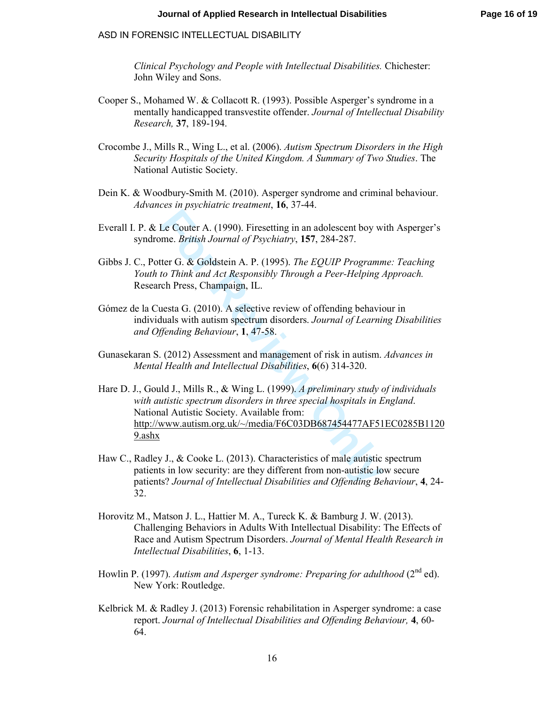*Clinical Psychology and People with Intellectual Disabilities.* Chichester: John Wiley and Sons.

- Cooper S., Mohamed W. & Collacott R. (1993). Possible Asperger's syndrome in a mentally handicapped transvestite offender. *Journal of Intellectual Disability Research,* **37**, 189-194.
- Crocombe J., Mills R., Wing L., et al. (2006). *Autism Spectrum Disorders in the High Security Hospitals of the United Kingdom. A Summary of Two Studies*. The National Autistic Society.
- Dein K. & Woodbury-Smith M. (2010). Asperger syndrome and criminal behaviour. *Advances in psychiatric treatment*, **16**, 37-44.
- Everall I. P. & Le Couter A. (1990). Firesetting in an adolescent boy with Asperger's syndrome. *British Journal of Psychiatry*, **157**, 284-287.
- Gibbs J. C., Potter G. & Goldstein A. P. (1995). *The EQUIP Programme: Teaching Youth to Think and Act Responsibly Through a Peer-Helping Approach.* Research Press, Champaign, IL.
- Gómez de la Cuesta G. (2010). A selective review of offending behaviour in individuals with autism spectrum disorders. *Journal of Learning Disabilities and Offending Behaviour*, **1**, 47-58.
- Gunasekaran S. (2012) Assessment and management of risk in autism. *Advances in Mental Health and Intellectual Disabilities*, **6**(6) 314-320.
- Le Couter A. (1990). Firesetting in an adolescent boy w<br>me. *British Journal of Psychiatry*, **157**, 284-287.<br>ter G. & Goldstein A. P. (1995). *The EQUIP Programn<br>to Think and Act Responsibly Through a Peer-Helping* .<br>ch Pr Hare D. J., Gould J., Mills R., & Wing L. (1999). *A preliminary study of individuals with autistic spectrum disorders in three special hospitals in England*. National Autistic Society. Available from: http://www.autism.org.uk/~/media/F6C03DB687454477AF51EC0285B1120 9.ashx
- Haw C., Radley J., & Cooke L. (2013). Characteristics of male autistic spectrum patients in low security: are they different from non-autistic low secure patients? *Journal of Intellectual Disabilities and Offending Behaviour*, **4**, 24- 32.
- Horovitz M., Matson J. L., Hattier M. A., Tureck K. & Bamburg J. W. (2013). Challenging Behaviors in Adults With Intellectual Disability: The Effects of Race and Autism Spectrum Disorders. *Journal of Mental Health Research in Intellectual Disabilities*, **6**, 1-13.
- Howlin P. (1997). *Autism and Asperger syndrome: Preparing for adulthood* (2<sup>nd</sup> ed). New York: Routledge.
- Kelbrick M. & Radley J. (2013) Forensic rehabilitation in Asperger syndrome: a case report. *Journal of Intellectual Disabilities and Offending Behaviour,* **4**, 60- 64.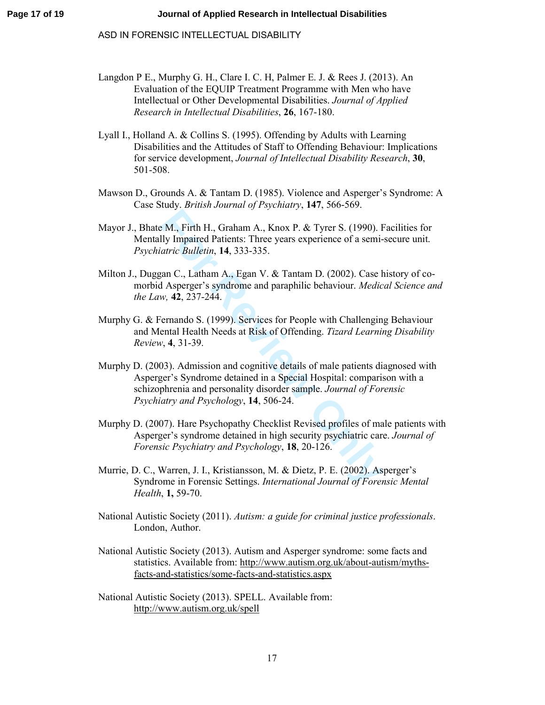- Langdon P E., Murphy G. H., Clare I. C. H, Palmer E. J. & Rees J. (2013). An Evaluation of the EQUIP Treatment Programme with Men who have Intellectual or Other Developmental Disabilities. *Journal of Applied Research in Intellectual Disabilities*, **26**, 167-180.
- Lyall I., Holland A. & Collins S. (1995). Offending by Adults with Learning Disabilities and the Attitudes of Staff to Offending Behaviour: Implications for service development, *Journal of Intellectual Disability Research*, **30**, 501-508.
- Mawson D., Grounds A. & Tantam D. (1985). Violence and Asperger's Syndrome: A Case Study. *British Journal of Psychiatry*, **147**, 566-569.
- Mayor J., Bhate M., Firth H., Graham A., Knox P. & Tyrer S. (1990). Facilities for Mentally Impaired Patients: Three years experience of a semi-secure unit. *Psychiatric Bulletin*, **14**, 333-335.
- Milton J., Duggan C., Latham A., Egan V. & Tantam D. (2002). Case history of comorbid Asperger's syndrome and paraphilic behaviour. *Medical Science and the Law,* **42**, 237-244.
- Murphy G. & Fernando S. (1999). Services for People with Challenging Behaviour and Mental Health Needs at Risk of Offending. *Tizard Learning Disability Review*, **4**, 31-39.
- **EXECT: For Review Only** Impaired Patients: Three years experience of a semi-<br>atric Bulletin, 14, 333-335.<br>aan C., Latham A., Egan V. & Tantam D. (2002). Case *H* Asperger's syndrome and paraphilic behaviour. *Medic*<br>w. Murphy D. (2003). Admission and cognitive details of male patients diagnosed with Asperger's Syndrome detained in a Special Hospital: comparison with a schizophrenia and personality disorder sample. *Journal of Forensic Psychiatry and Psychology*, **14**, 506-24.
- Murphy D. (2007). Hare Psychopathy Checklist Revised profiles of male patients with Asperger's syndrome detained in high security psychiatric care. *Journal of Forensic Psychiatry and Psychology*, **18**, 20-126.
- Murrie, D. C., Warren, J. I., Kristiansson, M. & Dietz, P. E. (2002). Asperger's Syndrome in Forensic Settings. *International Journal of Forensic Mental Health*, **1,** 59-70.
- National Autistic Society (2011). *Autism: a guide for criminal justice professionals*. London, Author.
- National Autistic Society (2013). Autism and Asperger syndrome: some facts and statistics. Available from: http://www.autism.org.uk/about-autism/mythsfacts-and-statistics/some-facts-and-statistics.aspx
- National Autistic Society (2013). SPELL. Available from: http://www.autism.org.uk/spell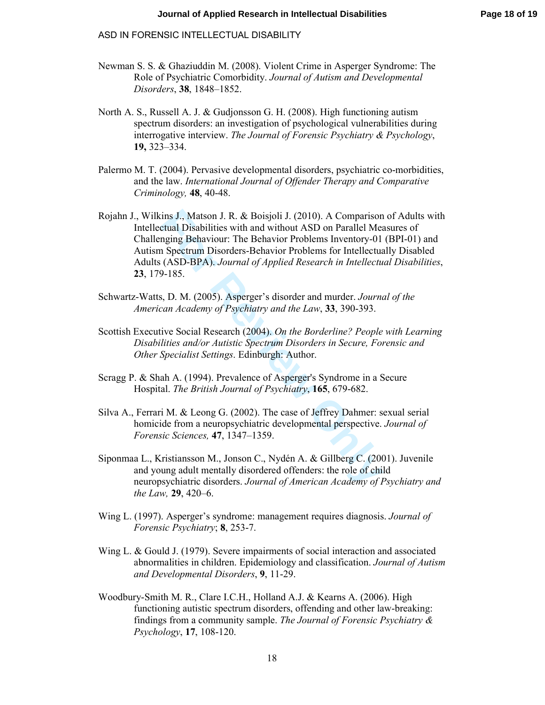- Newman S. S. & Ghaziuddin M. (2008). Violent Crime in Asperger Syndrome: The Role of Psychiatric Comorbidity. *Journal of Autism and Developmental Disorders*, **38**, 1848–1852.
- North A. S., Russell A. J. & Gudjonsson G. H. (2008). High functioning autism spectrum disorders: an investigation of psychological vulnerabilities during interrogative interview. *The Journal of Forensic Psychiatry & Psychology*, **19,** 323–334.
- Palermo M. T. (2004). Pervasive developmental disorders, psychiatric co-morbidities, and the law. *International Journal of Offender Therapy and Comparative Criminology,* **48** , 40-48.
- ins J., Matson J. R. & Boisjoli J. (2010). A Comparison<br>ctual Disabilities with and without ASD on Parallel Meanging Behaviour: The Behavior Problems Inventory-01<br>1 Spectrum Disorders-Behavior Problems for Intellectua<br>(ASD Rojahn J., Wilkins J., Matson J. R. & Boisjoli J. (2010). A Comparison of Adults with Intellectual Disabilities with and without ASD on Parallel Measures of Challenging Behaviour: The Behavior Problems Inventory-01 (BPI-01) and Autism Spectrum Disorders-Behavior Problems for Intellectually Disabled Adults (ASD-BPA). *Journal of Applied Research in Intellectual Disabilities*, **23**, 179-185.
- Schwartz-Watts, D. M. (2005). Asperger's disorder and murder. *Journal of the American Academy of Psychiatry and the Law*, **33**, 390-393.
- Scottish Executive Social Research (2004). *On the Borderline? People with Learning Disabilities and/or Autistic Spectrum Disorders in Secure, Forensic and Other Specialist Settings*. Edinburgh: Author.
- Scragg P. & Shah A. (1994). Prevalence of Asperger's Syndrome in a Secure Hospital. *The British Journal of Psychiatry*, **165**, 679-682.
- Silva A., Ferrari M. & Leong G. (2002). The case of Jeffrey Dahmer: sexual serial homicide from a neuropsychiatric developmental perspective. *Journal of Forensic Sciences,* **47**, 1347–1359.
- Siponmaa L., Kristiansson M., Jonson C., Nydén A. & Gillberg C. (2001). Juvenile and young adult mentally disordered offenders: the role of child neuropsychiatric disorders. *Journal of American Academy of Psychiatry and the Law,* **29**, 420–6.
- Wing L. (1997). Asperger's syndrome: management requires diagnosis. *Journal of Forensic Psychiatry*; **8**, 253-7.
- Wing L. & Gould J. (1979). Severe impairments of social interaction and associated abnormalities in children. Epidemiology and classification. *Journal of Autism and Developmental Disorders*, **9**, 11-29.
- Woodbury-Smith M. R., Clare I.C.H., Holland A.J. & Kearns A. (2006). High functioning autistic spectrum disorders, offending and other law-breaking: findings from a community sample. *The Journal of Forensic Psychiatry & Psychology*, **17**, 108-120.